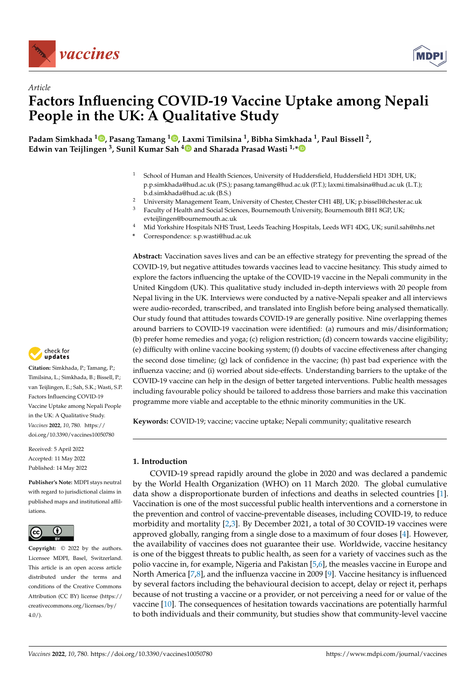



# *Article* **Factors Influencing COVID-19 Vaccine Uptake among Nepali People in the UK: A Qualitative Study**

**Padam Simkhada <sup>1</sup> [,](https://orcid.org/0000-0002-5706-6479) Pasang Tamang <sup>1</sup> [,](https://orcid.org/0000-0003-2733-7239) [Lax](https://orcid.org/0000-0002-0356-1992)mi Timilsina <sup>1</sup> , Bibha Simkhada <sup>1</sup> , Paul Bissell <sup>2</sup> , Edwin van Teijlingen <sup>3</sup> , Sunil Kumar Sah <sup>4</sup> and Sharada Prasad Wasti 1,[\\*](https://orcid.org/0000-0001-8833-7801)**

- <sup>1</sup> School of Human and Health Sciences, University of Huddersfield, Huddersfield HD1 3DH, UK; p.p.simkhada@hud.ac.uk (P.S.); pasang.tamang@hud.ac.uk (P.T.); laxmi.timalsina@hud.ac.uk (L.T.); b.d.simkhada@hud.ac.uk (B.S.)
- <sup>2</sup> University Management Team, University of Chester, Chester CH1 4BJ, UK; p.bissell@chester.ac.uk<br><sup>3</sup> Easylty of Haalth and Social Sciences, Bournamouth University, Bournamouth BH1 9CB UK.
- <sup>3</sup> Faculty of Health and Social Sciences, Bournemouth University, Bournemouth BH1 8GP, UK; evteijlingen@bournemouth.ac.uk
- <sup>4</sup> Mid Yorkshire Hospitals NHS Trust, Leeds Teaching Hospitals, Leeds WF1 4DG, UK; sunil.sah@nhs.net
- **\*** Correspondence: s.p.wasti@hud.ac.uk

**Abstract:** Vaccination saves lives and can be an effective strategy for preventing the spread of the COVID-19, but negative attitudes towards vaccines lead to vaccine hesitancy. This study aimed to explore the factors influencing the uptake of the COVID-19 vaccine in the Nepali community in the United Kingdom (UK). This qualitative study included in-depth interviews with 20 people from Nepal living in the UK. Interviews were conducted by a native-Nepali speaker and all interviews were audio-recorded, transcribed, and translated into English before being analysed thematically. Our study found that attitudes towards COVID-19 are generally positive. Nine overlapping themes around barriers to COVID-19 vaccination were identified: (a) rumours and mis/disinformation; (b) prefer home remedies and yoga; (c) religion restriction; (d) concern towards vaccine eligibility; (e) difficulty with online vaccine booking system; (f) doubts of vaccine effectiveness after changing the second dose timeline; (g) lack of confidence in the vaccine; (h) past bad experience with the influenza vaccine; and (i) worried about side-effects. Understanding barriers to the uptake of the COVID-19 vaccine can help in the design of better targeted interventions. Public health messages including favourable policy should be tailored to address those barriers and make this vaccination programme more viable and acceptable to the ethnic minority communities in the UK.

**Keywords:** COVID-19; vaccine; vaccine uptake; Nepali community; qualitative research

# **1. Introduction**

COVID-19 spread rapidly around the globe in 2020 and was declared a pandemic by the World Health Organization (WHO) on 11 March 2020. The global cumulative data show a disproportionate burden of infections and deaths in selected countries [\[1\]](#page-13-0). Vaccination is one of the most successful public health interventions and a cornerstone in the prevention and control of vaccine-preventable diseases, including COVID-19, to reduce morbidity and mortality [\[2](#page-13-1)[,3\]](#page-13-2). By December 2021, a total of 30 COVID-19 vaccines were approved globally, ranging from a single dose to a maximum of four doses [\[4\]](#page-13-3). However, the availability of vaccines does not guarantee their use. Worldwide, vaccine hesitancy is one of the biggest threats to public health, as seen for a variety of vaccines such as the polio vaccine in, for example, Nigeria and Pakistan [\[5](#page-13-4)[,6\]](#page-13-5), the measles vaccine in Europe and North America [\[7](#page-13-6)[,8\]](#page-13-7), and the influenza vaccine in 2009 [\[9\]](#page-13-8). Vaccine hesitancy is influenced by several factors including the behavioural decision to accept, delay or reject it, perhaps because of not trusting a vaccine or a provider, or not perceiving a need for or value of the vaccine [\[10\]](#page-13-9). The consequences of hesitation towards vaccinations are potentially harmful to both individuals and their community, but studies show that community-level vaccine



**Citation:** Simkhada, P.; Tamang, P.; Timilsina, L.; Simkhada, B.; Bissell, P.; van Teijlingen, E.; Sah, S.K.; Wasti, S.P. Factors Influencing COVID-19 Vaccine Uptake among Nepali People in the UK: A Qualitative Study. *Vaccines* **2022**, *10*, 780. [https://](https://doi.org/10.3390/vaccines10050780) [doi.org/10.3390/vaccines10050780](https://doi.org/10.3390/vaccines10050780)

Received: 5 April 2022 Accepted: 11 May 2022 Published: 14 May 2022

**Publisher's Note:** MDPI stays neutral with regard to jurisdictional claims in published maps and institutional affiliations.



**Copyright:** © 2022 by the authors. Licensee MDPI, Basel, Switzerland. This article is an open access article distributed under the terms and conditions of the Creative Commons Attribution (CC BY) license [\(https://](https://creativecommons.org/licenses/by/4.0/) [creativecommons.org/licenses/by/](https://creativecommons.org/licenses/by/4.0/)  $4.0/$ ).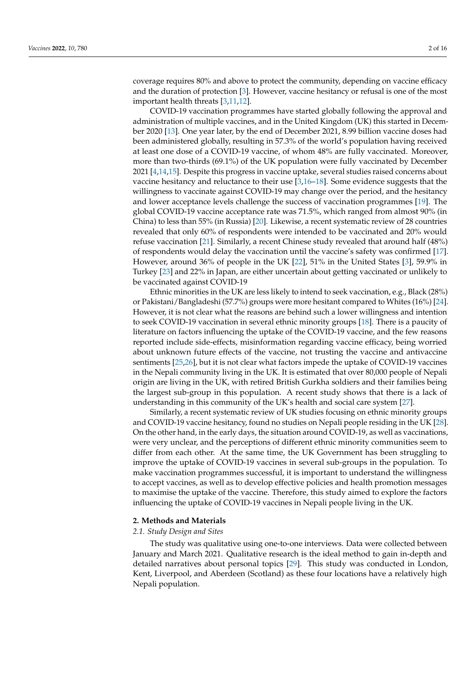coverage requires 80% and above to protect the community, depending on vaccine efficacy and the duration of protection [\[3\]](#page-13-2). However, vaccine hesitancy or refusal is one of the most important health threats [\[3,](#page-13-2)[11](#page-13-10)[,12\]](#page-13-11).

COVID-19 vaccination programmes have started globally following the approval and administration of multiple vaccines, and in the United Kingdom (UK) this started in December 2020 [\[13\]](#page-13-12). One year later, by the end of December 2021, 8.99 billion vaccine doses had been administered globally, resulting in 57.3% of the world's population having received at least one dose of a COVID-19 vaccine, of whom 48% are fully vaccinated. Moreover, more than two-thirds (69.1%) of the UK population were fully vaccinated by December 2021 [\[4,](#page-13-3)[14,](#page-13-13)[15\]](#page-13-14). Despite this progress in vaccine uptake, several studies raised concerns about vaccine hesitancy and reluctance to their use [\[3,](#page-13-2)[16–](#page-13-15)[18\]](#page-13-16). Some evidence suggests that the willingness to vaccinate against COVID-19 may change over the period, and the hesitancy and lower acceptance levels challenge the success of vaccination programmes [\[19\]](#page-13-17). The global COVID-19 vaccine acceptance rate was 71.5%, which ranged from almost 90% (in China) to less than 55% (in Russia) [\[20\]](#page-14-0). Likewise, a recent systematic review of 28 countries revealed that only 60% of respondents were intended to be vaccinated and 20% would refuse vaccination [\[21\]](#page-14-1). Similarly, a recent Chinese study revealed that around half (48%) of respondents would delay the vaccination until the vaccine's safety was confirmed [\[17\]](#page-13-18). However, around 36% of people in the UK [\[22\]](#page-14-2), 51% in the United States [\[3\]](#page-13-2), 59.9% in Turkey [\[23\]](#page-14-3) and 22% in Japan, are either uncertain about getting vaccinated or unlikely to be vaccinated against COVID-19

Ethnic minorities in the UK are less likely to intend to seek vaccination, e.g., Black (28%) or Pakistani/Bangladeshi (57.7%) groups were more hesitant compared to Whites (16%) [\[24\]](#page-14-4). However, it is not clear what the reasons are behind such a lower willingness and intention to seek COVID-19 vaccination in several ethnic minority groups [\[18\]](#page-13-16). There is a paucity of literature on factors influencing the uptake of the COVID-19 vaccine, and the few reasons reported include side-effects, misinformation regarding vaccine efficacy, being worried about unknown future effects of the vaccine, not trusting the vaccine and antivaccine sentiments [\[25](#page-14-5)[,26\]](#page-14-6), but it is not clear what factors impede the uptake of COVID-19 vaccines in the Nepali community living in the UK. It is estimated that over 80,000 people of Nepali origin are living in the UK, with retired British Gurkha soldiers and their families being the largest sub-group in this population. A recent study shows that there is a lack of understanding in this community of the UK's health and social care system [\[27\]](#page-14-7).

Similarly, a recent systematic review of UK studies focusing on ethnic minority groups and COVID-19 vaccine hesitancy, found no studies on Nepali people residing in the UK [\[28\]](#page-14-8). On the other hand, in the early days, the situation around COVID-19, as well as vaccinations, were very unclear, and the perceptions of different ethnic minority communities seem to differ from each other. At the same time, the UK Government has been struggling to improve the uptake of COVID-19 vaccines in several sub-groups in the population. To make vaccination programmes successful, it is important to understand the willingness to accept vaccines, as well as to develop effective policies and health promotion messages to maximise the uptake of the vaccine. Therefore, this study aimed to explore the factors influencing the uptake of COVID-19 vaccines in Nepali people living in the UK.

# **2. Methods and Materials**

# *2.1. Study Design and Sites*

The study was qualitative using one-to-one interviews. Data were collected between January and March 2021. Qualitative research is the ideal method to gain in-depth and detailed narratives about personal topics [\[29\]](#page-14-9). This study was conducted in London, Kent, Liverpool, and Aberdeen (Scotland) as these four locations have a relatively high Nepali population.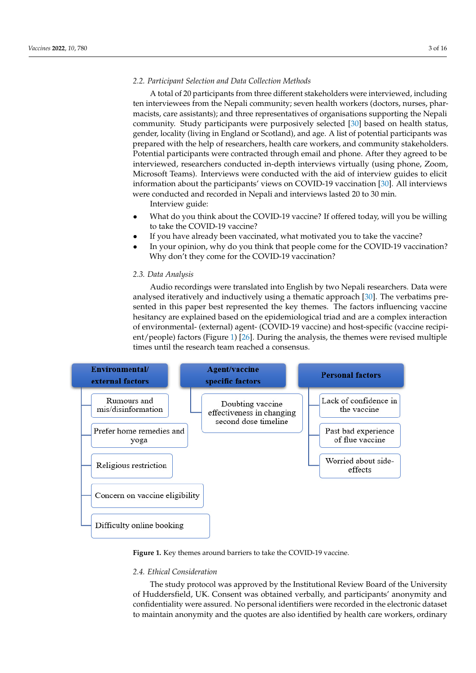#### *2.2. Participant Selection and Data Collection Methods 2.2. Participant Selection and Data Collection Methods*

A total of 20 participants from three different stakeholders were interviewed, including ten interviewees from the Nepali community; seven health workers (doctors, nurses, pharmacists, care assistants); and three representatives of organisations supporting the Nepali<br>  $\frac{1}{2}$ community. Study participants were purposively selected [\[30\]](#page-14-10) based on health status, gender, locality (living in England or Scotland), and age. A list of potential participants was gender, locality (invitig in England of Scotland), and age. These of potential participants was prepared with the help of researchers, health care workers, and community stakeholders. Potential participants were contracted through email and phone. After they agreed to be interviewed, researchers conducted in-depth interviews virtually (using phone, Zoom, microsoft Teams). Interviews were conducted with the aid of interview guides to elicit Microsoft Teams). Interviews were conducted with the aid of interview guides to elicit information about the participants' views on COVID-19 vaccination [\[30\]](#page-14-10). All interviews information about the participants' views on COVID-19 vaccination [30]. were conducted and recorded in Nepali and interviews lasted 20 to 30 min. All interviews were conducted and recorded in Nepali and interviews lasted 20 to 30 min.  $A \sim 20$  participants from the 20 participants from the different state  $\mu$  interviewed, included, included, included, included, included, included, included, included, included, included, included, included, included, i  $\alpha$  indicate the Newaliston the Newaliston the Newaliston workers (doctors, nurses, nurses, nurses, nurses, nurses, nurses, nurses, nurses, nurses, nurses, nurses, nurses, nurses, nurses, nurses, nurses, nurses, nurses, stakeholders. Potential participants were contracted through email and phone. After they

Interview guide: Interview guide:

population.

- What do you think about the COVID-19 vaccine? If offered today, will you be willing to take the COVID-19 vaccine?
- If you have already been vaccinated, what motivated you to take the vaccine? If you have already been vaccinated, what motivated you to take the vaccine?
- In your opinion, why do you think that people come for the COVID-19 vaccination? Why don't they come for the COVID-19 vaccination? Why don't they come for the COVID-19 vaccination?

# *2.3. Data Analysis 2.3. Data Analysis*

Audio recordings were translated into English by two Nepali researchers. Data were Audio recordings were translated into English by two Nepali researchers. Data were analysed iteratively and inductively using a thematic approach [30]. The verbatims pre-analysed iteratively and inductively using a thematic approach [\[30\]](#page-14-10). The verbatims presented in this paper best represented the key themes. The factors influencing vaccine hesitancy are explained based on the epidemiological triad and are a complex interaction of environmental- (external) agent- (COVID-19 vaccine) and host-specific (vaccine recipient/people) factors (Figure 1) [26]. During the analysis, the themes were revised multiple ent/people) factors (Figure [1\)](#page-2-0) [\[26\]](#page-14-6). During the analysis, the themes were revised multiple times until the research team reached a consensus. times until the research team reached a consensus.

<span id="page-2-0"></span>

**Figure 1.** Key themes around barriers to take the COVID-19 vaccine. **Figure 1.** Key themes around barriers to take the COVID-19 vaccine.

# *2.4. Ethical Consideration*

The study protocol was approved by the Institutional Review Board of the University of Huddersfield, UK. Consent was obtained verbally, and participants' anonymity and confidentiality were assured. No personal identifiers were recorded in the electronic dataset to maintain anonymity and the quotes are also identified by health care workers, ordinary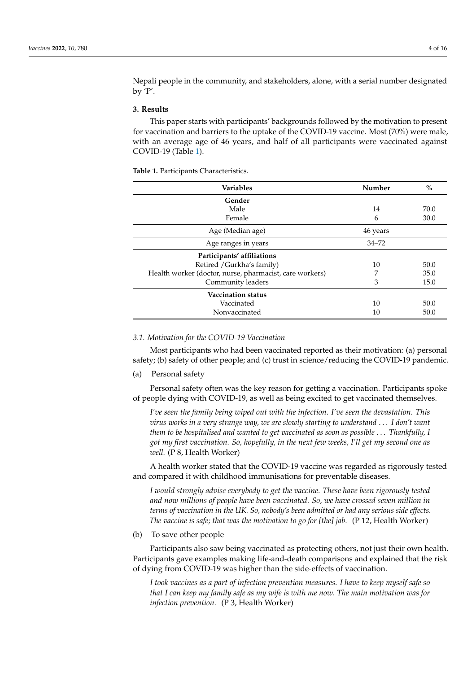Nepali people in the community, and stakeholders, alone, with a serial number designated by 'P'.

# **3. Results**

This paper starts with participants' backgrounds followed by the motivation to present for vaccination and barriers to the uptake of the COVID-19 vaccine. Most (70%) were male, with an average age of 46 years, and half of all participants were vaccinated against COVID-19 (Table [1\)](#page-3-0).

<span id="page-3-0"></span>**Table 1.** Participants Characteristics.

| <b>Variables</b>                                        | Number    | $\frac{0}{0}$ |
|---------------------------------------------------------|-----------|---------------|
| Gender                                                  |           |               |
| Male                                                    | 14        | 70.0          |
| Female                                                  | 6         | 30.0          |
| Age (Median age)                                        | 46 years  |               |
| Age ranges in years                                     | $34 - 72$ |               |
| Participants' affiliations                              |           |               |
| Retired / Gurkha's family)                              | 10        | 50.0          |
| Health worker (doctor, nurse, pharmacist, care workers) | 7         | 35.0          |
| Community leaders                                       | 3         | 15.0          |
| <b>Vaccination status</b>                               |           |               |
| Vaccinated                                              | 10        | 50.0          |
| Nonvaccinated                                           | 10        | 50.0          |

# *3.1. Motivation for the COVID-19 Vaccination*

Most participants who had been vaccinated reported as their motivation: (a) personal safety; (b) safety of other people; and (c) trust in science/reducing the COVID-19 pandemic.

#### (a) Personal safety

Personal safety often was the key reason for getting a vaccination. Participants spoke of people dying with COVID-19, as well as being excited to get vaccinated themselves.

*I've seen the family being wiped out with the infection. I've seen the devastation. This virus works in a very strange way, we are slowly starting to understand* . . . *I don't want them to be hospitalised and wanted to get vaccinated as soon as possible* . . . *Thankfully, I got my first vaccination. So, hopefully, in the next few weeks, I'll get my second one as well.* (P 8, Health Worker)

A health worker stated that the COVID-19 vaccine was regarded as rigorously tested and compared it with childhood immunisations for preventable diseases.

*I would strongly advise everybody to get the vaccine. These have been rigorously tested and now millions of people have been vaccinated. So, we have crossed seven million in terms of vaccination in the UK. So, nobody's been admitted or had any serious side effects. The vaccine is safe; that was the motivation to go for [the] jab.* (P 12, Health Worker)

(b) To save other people

Participants also saw being vaccinated as protecting others, not just their own health. Participants gave examples making life-and-death comparisons and explained that the risk of dying from COVID-19 was higher than the side-effects of vaccination.

*I took vaccines as a part of infection prevention measures. I have to keep myself safe so that I can keep my family safe as my wife is with me now. The main motivation was for infection prevention.* (P 3, Health Worker)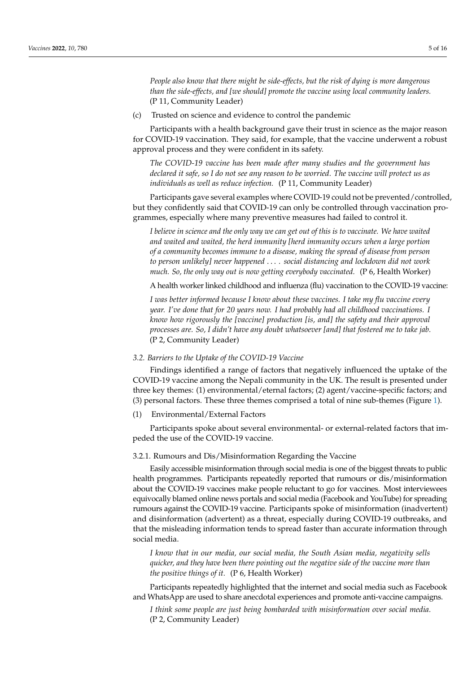*People also know that there might be side-effects, but the risk of dying is more dangerous than the side-effects, and [we should] promote the vaccine using local community leaders.* (P 11, Community Leader)

(c) Trusted on science and evidence to control the pandemic

Participants with a health background gave their trust in science as the major reason for COVID-19 vaccination. They said, for example, that the vaccine underwent a robust approval process and they were confident in its safety.

*The COVID-19 vaccine has been made after many studies and the government has declared it safe, so I do not see any reason to be worried. The vaccine will protect us as individuals as well as reduce infection.* (P 11, Community Leader)

Participants gave several examples where COVID-19 could not be prevented/controlled, but they confidently said that COVID-19 can only be controlled through vaccination programmes, especially where many preventive measures had failed to control it.

*I believe in science and the only way we can get out of this is to vaccinate. We have waited and waited and waited, the herd immunity [herd immunity occurs when a large portion of a community becomes immune to a disease, making the spread of disease from person to person unlikely] never happened* . . . *. social distancing and lockdown did not work much. So, the only way out is now getting everybody vaccinated.* (P 6, Health Worker)

A health worker linked childhood and influenza (flu) vaccination to the COVID-19 vaccine:

*I was better informed because I know about these vaccines. I take my flu vaccine every year. I've done that for 20 years now. I had probably had all childhood vaccinations. I know how rigorously the [vaccine] production [is, and] the safety and their approval processes are. So, I didn't have any doubt whatsoever [and] that fostered me to take jab.* (P 2, Community Leader)

## *3.2. Barriers to the Uptake of the COVID-19 Vaccine*

Findings identified a range of factors that negatively influenced the uptake of the COVID-19 vaccine among the Nepali community in the UK. The result is presented under three key themes: (1) environmental/eternal factors; (2) agent/vaccine-specific factors; and (3) personal factors. These three themes comprised a total of nine sub-themes (Figure [1\)](#page-2-0).

(1) Environmental/External Factors

Participants spoke about several environmental- or external-related factors that impeded the use of the COVID-19 vaccine.

# 3.2.1. Rumours and Dis/Misinformation Regarding the Vaccine

Easily accessible misinformation through social media is one of the biggest threats to public health programmes. Participants repeatedly reported that rumours or dis/misinformation about the COVID-19 vaccines make people reluctant to go for vaccines. Most interviewees equivocally blamed online news portals and social media (Facebook and YouTube) for spreading rumours against the COVID-19 vaccine. Participants spoke of misinformation (inadvertent) and disinformation (advertent) as a threat, especially during COVID-19 outbreaks, and that the misleading information tends to spread faster than accurate information through social media.

*I know that in our media, our social media, the South Asian media, negativity sells quicker, and they have been there pointing out the negative side of the vaccine more than the positive things of it.* (P 6, Health Worker)

Participants repeatedly highlighted that the internet and social media such as Facebook and WhatsApp are used to share anecdotal experiences and promote anti-vaccine campaigns.

*I think some people are just being bombarded with misinformation over social media.* (P 2, Community Leader)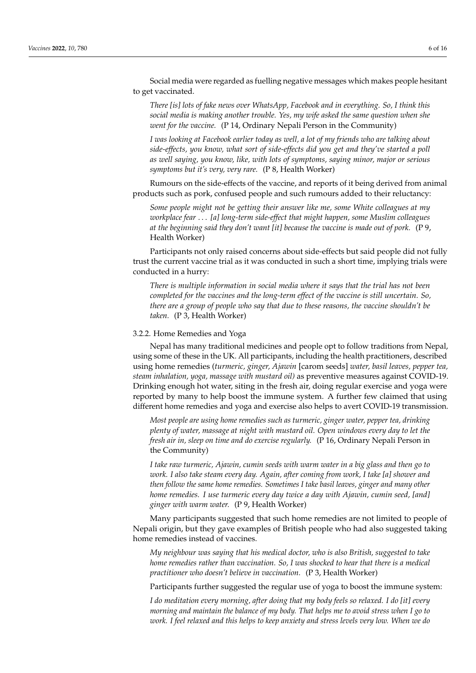Social media were regarded as fuelling negative messages which makes people hesitant to get vaccinated.

*There [is] lots of fake news over WhatsApp, Facebook and in everything. So, I think this social media is making another trouble. Yes, my wife asked the same question when she went for the vaccine.* (P 14, Ordinary Nepali Person in the Community)

*I was looking at Facebook earlier today as well, a lot of my friends who are talking about side-effects, you know, what sort of side-effects did you get and they've started a poll as well saying, you know, like, with lots of symptoms, saying minor, major or serious symptoms but it's very, very rare.* (P 8, Health Worker)

Rumours on the side-effects of the vaccine, and reports of it being derived from animal products such as pork, confused people and such rumours added to their reluctancy:

*Some people might not be getting their answer like me, some White colleagues at my workplace fear* . . . *[a] long-term side-effect that might happen, some Muslim colleagues at the beginning said they don't want [it] because the vaccine is made out of pork.* (P 9, Health Worker)

Participants not only raised concerns about side-effects but said people did not fully trust the current vaccine trial as it was conducted in such a short time, implying trials were conducted in a hurry:

*There is multiple information in social media where it says that the trial has not been completed for the vaccines and the long-term effect of the vaccine is still uncertain. So, there are a group of people who say that due to these reasons, the vaccine shouldn't be taken.* (P 3, Health Worker)

#### 3.2.2. Home Remedies and Yoga

Nepal has many traditional medicines and people opt to follow traditions from Nepal, using some of these in the UK. All participants, including the health practitioners, described using home remedies (*turmeric, ginger, Ajawin* [carom seeds] *water, basil leaves, pepper tea, steam inhalation, yoga, massage with mustard oil)* as preventive measures against COVID-19. Drinking enough hot water, siting in the fresh air, doing regular exercise and yoga were reported by many to help boost the immune system. A further few claimed that using different home remedies and yoga and exercise also helps to avert COVID-19 transmission.

*Most people are using home remedies such as turmeric, ginger water, pepper tea, drinking plenty of water, massage at night with mustard oil. Open windows every day to let the fresh air in, sleep on time and do exercise regularly.* (P 16, Ordinary Nepali Person in the Community)

*I take raw turmeric, Ajawin, cumin seeds with warm water in a big glass and then go to work. I also take steam every day. Again, after coming from work, I take [a] shower and then follow the same home remedies. Sometimes I take basil leaves, ginger and many other home remedies. I use turmeric every day twice a day with Ajawin, cumin seed, [and] ginger with warm water.* (P 9, Health Worker)

Many participants suggested that such home remedies are not limited to people of Nepali origin, but they gave examples of British people who had also suggested taking home remedies instead of vaccines.

*My neighbour was saying that his medical doctor, who is also British, suggested to take home remedies rather than vaccination. So, I was shocked to hear that there is a medical practitioner who doesn't believe in vaccination.* (P 3, Health Worker)

Participants further suggested the regular use of yoga to boost the immune system:

*I do meditation every morning, after doing that my body feels so relaxed. I do [it] every morning and maintain the balance of my body. That helps me to avoid stress when I go to work. I feel relaxed and this helps to keep anxiety and stress levels very low. When we do*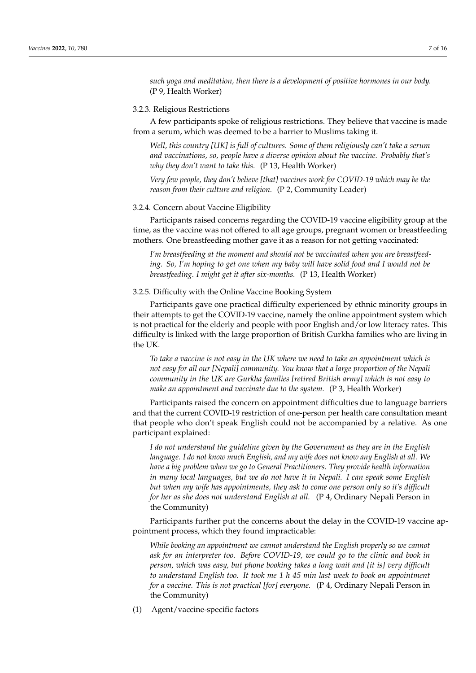*such yoga and meditation, then there is a development of positive hormones in our body.* (P 9, Health Worker)

### 3.2.3. Religious Restrictions

A few participants spoke of religious restrictions. They believe that vaccine is made from a serum, which was deemed to be a barrier to Muslims taking it.

*Well, this country [UK] is full of cultures. Some of them religiously can't take a serum and vaccinations, so, people have a diverse opinion about the vaccine. Probably that's why they don't want to take this.* (P 13, Health Worker)

*Very few people, they don't believe [that] vaccines work for COVID-19 which may be the reason from their culture and religion.* (P 2, Community Leader)

#### 3.2.4. Concern about Vaccine Eligibility

Participants raised concerns regarding the COVID-19 vaccine eligibility group at the time, as the vaccine was not offered to all age groups, pregnant women or breastfeeding mothers. One breastfeeding mother gave it as a reason for not getting vaccinated:

*I'm breastfeeding at the moment and should not be vaccinated when you are breastfeeding. So, I'm hoping to get one when my baby will have solid food and I would not be breastfeeding. I might get it after six-months.* (P 13, Health Worker)

3.2.5. Difficulty with the Online Vaccine Booking System

Participants gave one practical difficulty experienced by ethnic minority groups in their attempts to get the COVID-19 vaccine, namely the online appointment system which is not practical for the elderly and people with poor English and/or low literacy rates. This difficulty is linked with the large proportion of British Gurkha families who are living in the UK.

*To take a vaccine is not easy in the UK where we need to take an appointment which is not easy for all our [Nepali] community. You know that a large proportion of the Nepali community in the UK are Gurkha families [retired British army] which is not easy to make an appointment and vaccinate due to the system.* (P 3, Health Worker)

Participants raised the concern on appointment difficulties due to language barriers and that the current COVID-19 restriction of one-person per health care consultation meant that people who don't speak English could not be accompanied by a relative. As one participant explained:

*I do not understand the guideline given by the Government as they are in the English language. I do not know much English, and my wife does not know any English at all. We have a big problem when we go to General Practitioners. They provide health information in many local languages, but we do not have it in Nepali. I can speak some English but when my wife has appointments, they ask to come one person only so it's difficult for her as she does not understand English at all.* (P 4, Ordinary Nepali Person in the Community)

Participants further put the concerns about the delay in the COVID-19 vaccine appointment process, which they found impracticable:

*While booking an appointment we cannot understand the English properly so we cannot ask for an interpreter too. Before COVID-19, we could go to the clinic and book in person, which was easy, but phone booking takes a long wait and [it is] very difficult to understand English too. It took me 1 h 45 min last week to book an appointment for a vaccine. This is not practical [for] everyone.* (P 4, Ordinary Nepali Person in the Community)

(1) Agent/vaccine-specific factors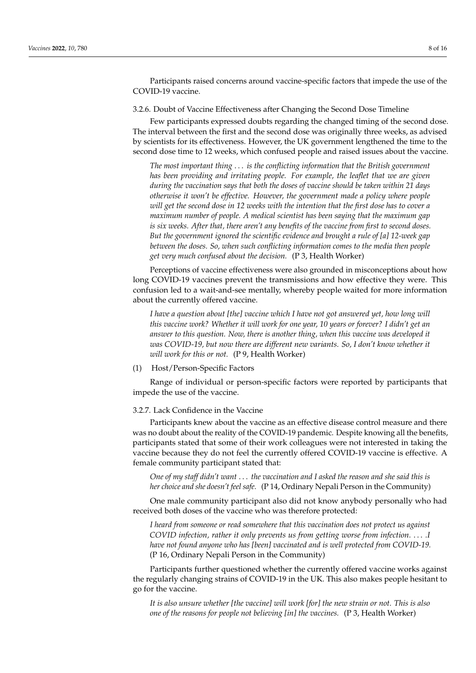Participants raised concerns around vaccine-specific factors that impede the use of the COVID-19 vaccine.

3.2.6. Doubt of Vaccine Effectiveness after Changing the Second Dose Timeline

Few participants expressed doubts regarding the changed timing of the second dose. The interval between the first and the second dose was originally three weeks, as advised by scientists for its effectiveness. However, the UK government lengthened the time to the second dose time to 12 weeks, which confused people and raised issues about the vaccine.

*The most important thing* . . . *is the conflicting information that the British government has been providing and irritating people. For example, the leaflet that we are given during the vaccination says that both the doses of vaccine should be taken within 21 days otherwise it won't be effective. However, the government made a policy where people will get the second dose in 12 weeks with the intention that the first dose has to cover a maximum number of people. A medical scientist has been saying that the maximum gap is six weeks. After that, there aren't any benefits of the vaccine from first to second doses. But the government ignored the scientific evidence and brought a rule of [a] 12-week gap between the doses. So, when such conflicting information comes to the media then people get very much confused about the decision.* (P 3, Health Worker)

Perceptions of vaccine effectiveness were also grounded in misconceptions about how long COVID-19 vaccines prevent the transmissions and how effective they were. This confusion led to a wait-and-see mentally, whereby people waited for more information about the currently offered vaccine.

*I have a question about [the] vaccine which I have not got answered yet, how long will this vaccine work? Whether it will work for one year, 10 years or forever? I didn't get an answer to this question. Now, there is another thing, when this vaccine was developed it was COVID-19, but now there are different new variants. So, I don't know whether it will work for this or not.* (P 9, Health Worker)

(1) Host/Person-Specific Factors

Range of individual or person-specific factors were reported by participants that impede the use of the vaccine.

3.2.7. Lack Confidence in the Vaccine

Participants knew about the vaccine as an effective disease control measure and there was no doubt about the reality of the COVID-19 pandemic. Despite knowing all the benefits, participants stated that some of their work colleagues were not interested in taking the vaccine because they do not feel the currently offered COVID-19 vaccine is effective. A female community participant stated that:

*One of my staff didn't want* . . . *the vaccination and I asked the reason and she said this is her choice and she doesn't feel safe.* (P 14, Ordinary Nepali Person in the Community)

One male community participant also did not know anybody personally who had received both doses of the vaccine who was therefore protected:

*I heard from someone or read somewhere that this vaccination does not protect us against COVID infection, rather it only prevents us from getting worse from infection.* . . . *.I have not found anyone who has [been] vaccinated and is well protected from COVID-19.* (P 16, Ordinary Nepali Person in the Community)

Participants further questioned whether the currently offered vaccine works against the regularly changing strains of COVID-19 in the UK. This also makes people hesitant to go for the vaccine.

*It is also unsure whether [the vaccine] will work [for] the new strain or not. This is also one of the reasons for people not believing [in] the vaccines.* (P 3, Health Worker)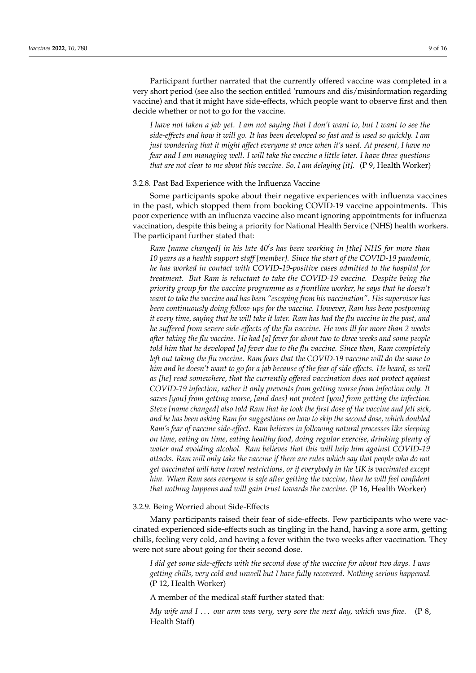Participant further narrated that the currently offered vaccine was completed in a very short period (see also the section entitled 'rumours and dis/misinformation regarding vaccine) and that it might have side-effects, which people want to observe first and then decide whether or not to go for the vaccine.

*I have not taken a jab yet. I am not saying that I don't want to, but I want to see the side-effects and how it will go. It has been developed so fast and is used so quickly. I am just wondering that it might affect everyone at once when it's used. At present, I have no fear and I am managing well. I will take the vaccine a little later. I have three questions that are not clear to me about this vaccine. So, I am delaying [it].* (P 9, Health Worker)

#### 3.2.8. Past Bad Experience with the Influenza Vaccine

Some participants spoke about their negative experiences with influenza vaccines in the past, which stopped them from booking COVID-19 vaccine appointments. This poor experience with an influenza vaccine also meant ignoring appointments for influenza vaccination, despite this being a priority for National Health Service (NHS) health workers. The participant further stated that:

Ram [name changed] in his late 40's has been working in [the] NHS for more than *10 years as a health support staff [member]. Since the start of the COVID-19 pandemic, he has worked in contact with COVID-19-positive cases admitted to the hospital for treatment. But Ram is reluctant to take the COVID-19 vaccine. Despite being the priority group for the vaccine programme as a frontline worker, he says that he doesn't want to take the vaccine and has been "escaping from his vaccination". His supervisor has been continuously doing follow-ups for the vaccine. However, Ram has been postponing it every time, saying that he will take it later. Ram has had the flu vaccine in the past, and he suffered from severe side-effects of the flu vaccine. He was ill for more than 2 weeks after taking the flu vaccine. He had [a] fever for about two to three weeks and some people told him that he developed [a] fever due to the flu vaccine. Since then, Ram completely left out taking the flu vaccine. Ram fears that the COVID-19 vaccine will do the same to him and he doesn't want to go for a jab because of the fear of side effects. He heard, as well as [he] read somewhere, that the currently offered vaccination does not protect against COVID-19 infection, rather it only prevents from getting worse from infection only. It saves [you] from getting worse, [and does] not protect [you] from getting the infection. Steve [name changed] also told Ram that he took the first dose of the vaccine and felt sick, and he has been asking Ram for suggestions on how to skip the second dose, which doubled Ram's fear of vaccine side-effect. Ram believes in following natural processes like sleeping on time, eating on time, eating healthy food, doing regular exercise, drinking plenty of water and avoiding alcohol. Ram believes that this will help him against COVID-19 attacks. Ram will only take the vaccine if there are rules which say that people who do not get vaccinated will have travel restrictions, or if everybody in the UK is vaccinated except him. When Ram sees everyone is safe after getting the vaccine, then he will feel confident that nothing happens and will gain trust towards the vaccine.* (P 16, Health Worker)

#### 3.2.9. Being Worried about Side-Effects

Many participants raised their fear of side-effects. Few participants who were vaccinated experienced side-effects such as tingling in the hand, having a sore arm, getting chills, feeling very cold, and having a fever within the two weeks after vaccination. They were not sure about going for their second dose.

*I did get some side-effects with the second dose of the vaccine for about two days. I was getting chills, very cold and unwell but I have fully recovered. Nothing serious happened.* (P 12, Health Worker)

A member of the medical staff further stated that:

*My wife and I* . . . *our arm was very, very sore the next day, which was fine.* (P 8, Health Staff)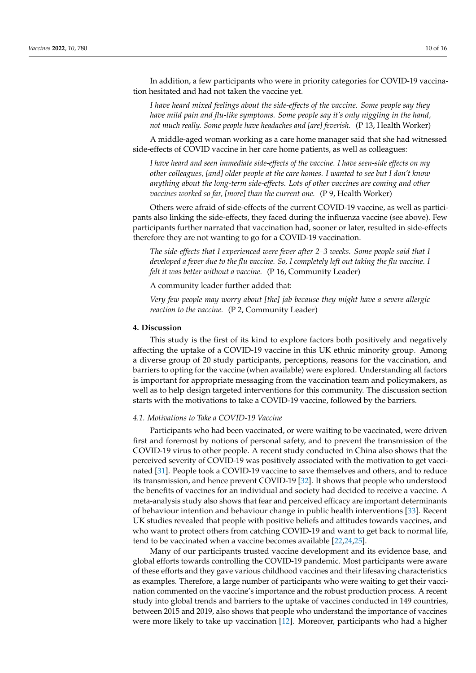In addition, a few participants who were in priority categories for COVID-19 vaccination hesitated and had not taken the vaccine yet.

*I have heard mixed feelings about the side-effects of the vaccine. Some people say they have mild pain and flu-like symptoms. Some people say it's only niggling in the hand, not much really. Some people have headaches and [are] feverish.* (P 13, Health Worker)

A middle-aged woman working as a care home manager said that she had witnessed side-effects of COVID vaccine in her care home patients, as well as colleagues:

*I have heard and seen immediate side-effects of the vaccine. I have seen-side effects on my other colleagues, [and] older people at the care homes. I wanted to see but I don't know anything about the long-term side-effects. Lots of other vaccines are coming and other vaccines worked so far, [more] than the current one.* (P 9, Health Worker)

Others were afraid of side-effects of the current COVID-19 vaccine, as well as participants also linking the side-effects, they faced during the influenza vaccine (see above). Few participants further narrated that vaccination had, sooner or later, resulted in side-effects therefore they are not wanting to go for a COVID-19 vaccination.

*The side-effects that I experienced were fever after 2–3 weeks. Some people said that I developed a fever due to the flu vaccine. So, I completely left out taking the flu vaccine. I felt it was better without a vaccine.* (P 16, Community Leader)

#### A community leader further added that:

*Very few people may worry about [the] jab because they might have a severe allergic reaction to the vaccine.* (P 2, Community Leader)

# **4. Discussion**

This study is the first of its kind to explore factors both positively and negatively affecting the uptake of a COVID-19 vaccine in this UK ethnic minority group. Among a diverse group of 20 study participants, perceptions, reasons for the vaccination, and barriers to opting for the vaccine (when available) were explored. Understanding all factors is important for appropriate messaging from the vaccination team and policymakers, as well as to help design targeted interventions for this community. The discussion section starts with the motivations to take a COVID-19 vaccine, followed by the barriers.

## *4.1. Motivations to Take a COVID-19 Vaccine*

Participants who had been vaccinated, or were waiting to be vaccinated, were driven first and foremost by notions of personal safety, and to prevent the transmission of the COVID-19 virus to other people. A recent study conducted in China also shows that the perceived severity of COVID-19 was positively associated with the motivation to get vaccinated [\[31\]](#page-14-11). People took a COVID-19 vaccine to save themselves and others, and to reduce its transmission, and hence prevent COVID-19 [\[32\]](#page-14-12). It shows that people who understood the benefits of vaccines for an individual and society had decided to receive a vaccine. A meta-analysis study also shows that fear and perceived efficacy are important determinants of behaviour intention and behaviour change in public health interventions [\[33\]](#page-14-13). Recent UK studies revealed that people with positive beliefs and attitudes towards vaccines, and who want to protect others from catching COVID-19 and want to get back to normal life, tend to be vaccinated when a vaccine becomes available [\[22](#page-14-2)[,24,](#page-14-4)[25\]](#page-14-5).

Many of our participants trusted vaccine development and its evidence base, and global efforts towards controlling the COVID-19 pandemic. Most participants were aware of these efforts and they gave various childhood vaccines and their lifesaving characteristics as examples. Therefore, a large number of participants who were waiting to get their vaccination commented on the vaccine's importance and the robust production process. A recent study into global trends and barriers to the uptake of vaccines conducted in 149 countries, between 2015 and 2019, also shows that people who understand the importance of vaccines were more likely to take up vaccination [\[12\]](#page-13-11). Moreover, participants who had a higher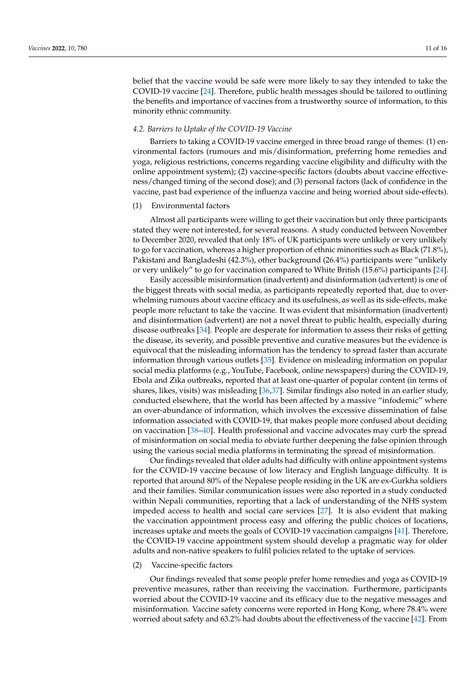belief that the vaccine would be safe were more likely to say they intended to take the COVID-19 vaccine [\[24\]](#page-14-4). Therefore, public health messages should be tailored to outlining the benefits and importance of vaccines from a trustworthy source of information, to this minority ethnic community.

#### *4.2. Barriers to Uptake of the COVID-19 Vaccine*

Barriers to taking a COVID-19 vaccine emerged in three broad range of themes: (1) environmental factors (rumours and mis/disinformation, preferring home remedies and yoga, religious restrictions, concerns regarding vaccine eligibility and difficulty with the online appointment system); (2) vaccine-specific factors (doubts about vaccine effectiveness/changed timing of the second dose); and (3) personal factors (lack of confidence in the vaccine, past bad experience of the influenza vaccine and being worried about side-effects).

# (1) Environmental factors

Almost all participants were willing to get their vaccination but only three participants stated they were not interested, for several reasons. A study conducted between November to December 2020, revealed that only 18% of UK participants were unlikely or very unlikely to go for vaccination, whereas a higher proportion of ethnic minorities such as Black (71.8%), Pakistani and Bangladeshi (42.3%), other background (26.4%) participants were "unlikely or very unlikely" to go for vaccination compared to White British (15.6%) participants [\[24\]](#page-14-4).

Easily accessible misinformation (inadvertent) and disinformation (advertent) is one of the biggest threats with social media, as participants repeatedly reported that, due to overwhelming rumours about vaccine efficacy and its usefulness, as well as its side-effects, make people more reluctant to take the vaccine. It was evident that misinformation (inadvertent) and disinformation (advertent) are not a novel threat to public health, especially during disease outbreaks [\[34\]](#page-14-14). People are desperate for information to assess their risks of getting the disease, its severity, and possible preventive and curative measures but the evidence is equivocal that the misleading information has the tendency to spread faster than accurate information through various outlets [\[35\]](#page-14-15). Evidence on misleading information on popular social media platforms (e.g., YouTube, Facebook, online newspapers) during the COVID-19, Ebola and Zika outbreaks, reported that at least one-quarter of popular content (in terms of shares, likes, visits) was misleading [\[36](#page-14-16)[,37\]](#page-14-17). Similar findings also noted in an earlier study, conducted elsewhere, that the world has been affected by a massive "infodemic" where an over-abundance of information, which involves the excessive dissemination of false information associated with COVID-19, that makes people more confused about deciding on vaccination [\[38](#page-14-18)[–40\]](#page-14-19). Health professional and vaccine advocates may curb the spread of misinformation on social media to obviate further deepening the false opinion through using the various social media platforms in terminating the spread of misinformation.

Our findings revealed that older adults had difficulty with online appointment systems for the COVID-19 vaccine because of low literacy and English language difficulty. It is reported that around 80% of the Nepalese people residing in the UK are ex-Gurkha soldiers and their families. Similar communication issues were also reported in a study conducted within Nepali communities, reporting that a lack of understanding of the NHS system impeded access to health and social care services [\[27\]](#page-14-7). It is also evident that making the vaccination appointment process easy and offering the public choices of locations, increases uptake and meets the goals of COVID-19 vaccination campaigns [\[41\]](#page-14-20). Therefore, the COVID-19 vaccine appointment system should develop a pragmatic way for older adults and non-native speakers to fulfil policies related to the uptake of services.

# (2) Vaccine-specific factors

Our findings revealed that some people prefer home remedies and yoga as COVID-19 preventive measures, rather than receiving the vaccination. Furthermore, participants worried about the COVID-19 vaccine and its efficacy due to the negative messages and misinformation. Vaccine safety concerns were reported in Hong Kong, where 78.4% were worried about safety and 63.2% had doubts about the effectiveness of the vaccine [\[42\]](#page-14-21). From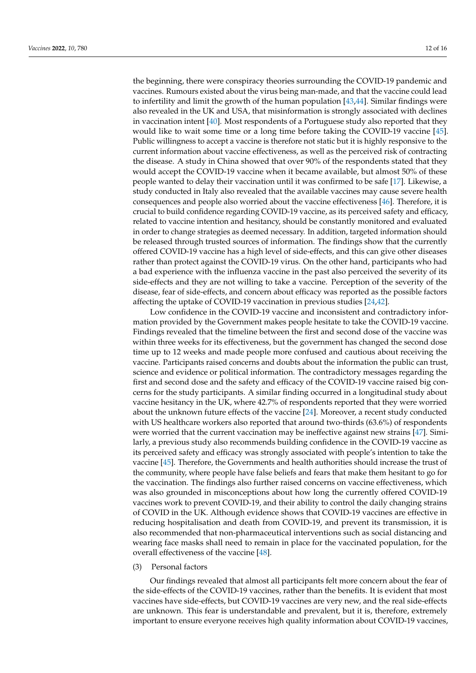the beginning, there were conspiracy theories surrounding the COVID-19 pandemic and vaccines. Rumours existed about the virus being man-made, and that the vaccine could lead to infertility and limit the growth of the human population [\[43,](#page-14-22)[44\]](#page-14-23). Similar findings were also revealed in the UK and USA, that misinformation is strongly associated with declines in vaccination intent [\[40\]](#page-14-19). Most respondents of a Portuguese study also reported that they would like to wait some time or a long time before taking the COVID-19 vaccine [\[45\]](#page-14-24). Public willingness to accept a vaccine is therefore not static but it is highly responsive to the current information about vaccine effectiveness, as well as the perceived risk of contracting the disease. A study in China showed that over 90% of the respondents stated that they would accept the COVID-19 vaccine when it became available, but almost 50% of these people wanted to delay their vaccination until it was confirmed to be safe [\[17\]](#page-13-18). Likewise, a study conducted in Italy also revealed that the available vaccines may cause severe health consequences and people also worried about the vaccine effectiveness [\[46\]](#page-14-25). Therefore, it is crucial to build confidence regarding COVID-19 vaccine, as its perceived safety and efficacy, related to vaccine intention and hesitancy, should be constantly monitored and evaluated in order to change strategies as deemed necessary. In addition, targeted information should be released through trusted sources of information. The findings show that the currently offered COVID-19 vaccine has a high level of side-effects, and this can give other diseases rather than protect against the COVID-19 virus. On the other hand, participants who had a bad experience with the influenza vaccine in the past also perceived the severity of its side-effects and they are not willing to take a vaccine. Perception of the severity of the disease, fear of side-effects, and concern about efficacy was reported as the possible factors affecting the uptake of COVID-19 vaccination in previous studies [\[24,](#page-14-4)[42\]](#page-14-21).

Low confidence in the COVID-19 vaccine and inconsistent and contradictory information provided by the Government makes people hesitate to take the COVID-19 vaccine. Findings revealed that the timeline between the first and second dose of the vaccine was within three weeks for its effectiveness, but the government has changed the second dose time up to 12 weeks and made people more confused and cautious about receiving the vaccine. Participants raised concerns and doubts about the information the public can trust, science and evidence or political information. The contradictory messages regarding the first and second dose and the safety and efficacy of the COVID-19 vaccine raised big concerns for the study participants. A similar finding occurred in a longitudinal study about vaccine hesitancy in the UK, where 42.7% of respondents reported that they were worried about the unknown future effects of the vaccine [\[24\]](#page-14-4). Moreover, a recent study conducted with US healthcare workers also reported that around two-thirds (63.6%) of respondents were worried that the current vaccination may be ineffective against new strains [\[47\]](#page-14-26). Similarly, a previous study also recommends building confidence in the COVID-19 vaccine as its perceived safety and efficacy was strongly associated with people's intention to take the vaccine [\[45\]](#page-14-24). Therefore, the Governments and health authorities should increase the trust of the community, where people have false beliefs and fears that make them hesitant to go for the vaccination. The findings also further raised concerns on vaccine effectiveness, which was also grounded in misconceptions about how long the currently offered COVID-19 vaccines work to prevent COVID-19, and their ability to control the daily changing strains of COVID in the UK. Although evidence shows that COVID-19 vaccines are effective in reducing hospitalisation and death from COVID-19, and prevent its transmission, it is also recommended that non-pharmaceutical interventions such as social distancing and wearing face masks shall need to remain in place for the vaccinated population, for the overall effectiveness of the vaccine [\[48\]](#page-14-27).

(3) Personal factors

Our findings revealed that almost all participants felt more concern about the fear of the side-effects of the COVID-19 vaccines, rather than the benefits. It is evident that most vaccines have side-effects, but COVID-19 vaccines are very new, and the real side-effects are unknown. This fear is understandable and prevalent, but it is, therefore, extremely important to ensure everyone receives high quality information about COVID-19 vaccines,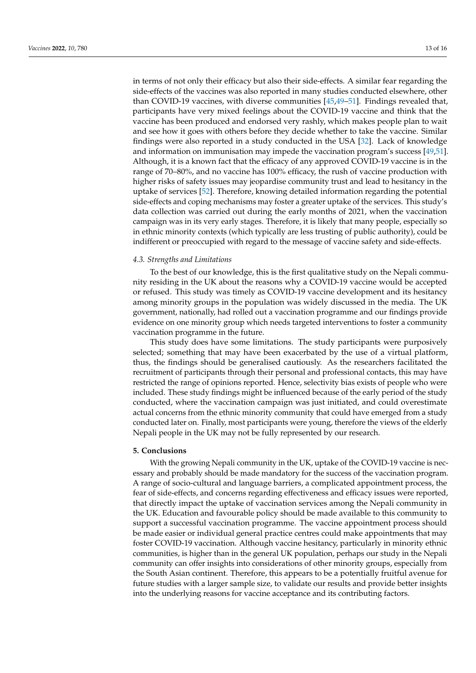in terms of not only their efficacy but also their side-effects. A similar fear regarding the side-effects of the vaccines was also reported in many studies conducted elsewhere, other than COVID-19 vaccines, with diverse communities [\[45,](#page-14-24)[49–](#page-15-0)[51\]](#page-15-1). Findings revealed that, participants have very mixed feelings about the COVID-19 vaccine and think that the vaccine has been produced and endorsed very rashly, which makes people plan to wait and see how it goes with others before they decide whether to take the vaccine. Similar findings were also reported in a study conducted in the USA [\[32\]](#page-14-12). Lack of knowledge and information on immunisation may impede the vaccination program's success [\[49,](#page-15-0)[51\]](#page-15-1). Although, it is a known fact that the efficacy of any approved COVID-19 vaccine is in the range of 70–80%, and no vaccine has 100% efficacy, the rush of vaccine production with higher risks of safety issues may jeopardise community trust and lead to hesitancy in the uptake of services [\[52\]](#page-15-2). Therefore, knowing detailed information regarding the potential side-effects and coping mechanisms may foster a greater uptake of the services. This study's data collection was carried out during the early months of 2021, when the vaccination campaign was in its very early stages. Therefore, it is likely that many people, especially so in ethnic minority contexts (which typically are less trusting of public authority), could be indifferent or preoccupied with regard to the message of vaccine safety and side-effects.

# *4.3. Strengths and Limitations*

To the best of our knowledge, this is the first qualitative study on the Nepali community residing in the UK about the reasons why a COVID-19 vaccine would be accepted or refused. This study was timely as COVID-19 vaccine development and its hesitancy among minority groups in the population was widely discussed in the media. The UK government, nationally, had rolled out a vaccination programme and our findings provide evidence on one minority group which needs targeted interventions to foster a community vaccination programme in the future.

This study does have some limitations. The study participants were purposively selected; something that may have been exacerbated by the use of a virtual platform, thus, the findings should be generalised cautiously. As the researchers facilitated the recruitment of participants through their personal and professional contacts, this may have restricted the range of opinions reported. Hence, selectivity bias exists of people who were included. These study findings might be influenced because of the early period of the study conducted, where the vaccination campaign was just initiated, and could overestimate actual concerns from the ethnic minority community that could have emerged from a study conducted later on. Finally, most participants were young, therefore the views of the elderly Nepali people in the UK may not be fully represented by our research.

#### **5. Conclusions**

With the growing Nepali community in the UK, uptake of the COVID-19 vaccine is necessary and probably should be made mandatory for the success of the vaccination program. A range of socio-cultural and language barriers, a complicated appointment process, the fear of side-effects, and concerns regarding effectiveness and efficacy issues were reported, that directly impact the uptake of vaccination services among the Nepali community in the UK. Education and favourable policy should be made available to this community to support a successful vaccination programme. The vaccine appointment process should be made easier or individual general practice centres could make appointments that may foster COVID-19 vaccination. Although vaccine hesitancy, particularly in minority ethnic communities, is higher than in the general UK population, perhaps our study in the Nepali community can offer insights into considerations of other minority groups, especially from the South Asian continent. Therefore, this appears to be a potentially fruitful avenue for future studies with a larger sample size, to validate our results and provide better insights into the underlying reasons for vaccine acceptance and its contributing factors.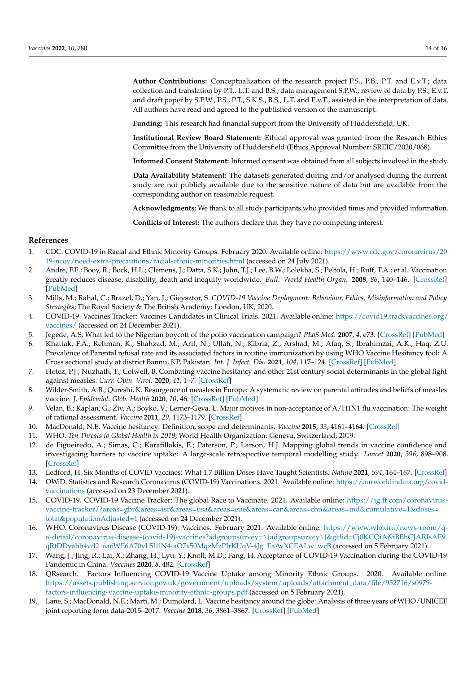**Author Contributions:** Conceptualization of the research project P.S., P.B., P.T. and E.v.T.; data collection and translation by P.T., L.T. and B.S.; data management S.P.W.; review of data by P.S., E.v.T. and draft paper by S.P.W., P.S., P.T., S.K.S., B.S., L.T. and E.v.T., assisted in the interpretation of data. All authors have read and agreed to the published version of the manuscript.

**Funding:** This research had financial support from the University of Huddersfield, UK.

**Institutional Review Board Statement:** Ethical approval was granted from the Research Ethics Committee from the University of Huddersfield (Ethics Approval Number: SREIC/2020/068).

**Informed Consent Statement:** Informed consent was obtained from all subjects involved in the study.

**Data Availability Statement:** The datasets generated during and/or analysed during the current study are not publicly available due to the sensitive nature of data but are available from the corresponding author on reasonable request.

**Acknowledgments:** We thank to all study participants who provided times and provided information.

**Conflicts of Interest:** The authors declare that they have no competing interest.

# **References**

- <span id="page-13-0"></span>1. CDC. COVID-19 in Racial and Ethnic Minority Groups. February 2020. Available online: [https://www.cdc.gov/coronavirus/20](https://www.cdc.gov/coronavirus/2019-ncov/need-extra-precautions/racial-ethnic-minorities.html) [19-ncov/need-extra-precautions/racial-ethnic-minorities.html](https://www.cdc.gov/coronavirus/2019-ncov/need-extra-precautions/racial-ethnic-minorities.html) (accessed on 24 July 2021).
- <span id="page-13-1"></span>2. Andre, F.E.; Booy, R.; Bock, H.L.; Clemens, J.; Datta, S.K.; John, T.J.; Lee, B.W.; Lolekha, S.; Peltola, H.; Ruff, T.A.; et al. Vaccination greatly reduces disease, disability, death and inequity worldwide. *Bull. World Health Organ.* **2008**, *86*, 140–146. [\[CrossRef\]](http://doi.org/10.2471/BLT.07.040089) [\[PubMed\]](http://www.ncbi.nlm.nih.gov/pubmed/18297169)
- <span id="page-13-2"></span>3. Mills, M.; Rahal, C.; Brazel, D.; Yan, J.; Gieysztor, S. *COVID-19 Vaccine Deployment: Behaviour, Ethics, Misinformation and Policy Strategies*; The Royal Society & The British Academy: London, UK, 2020.
- <span id="page-13-3"></span>4. COVID-19. Vaccines Tracker: Vaccines Candidates in Clinical Trials. 2021. Available online: [https://covid19.trackvaccines.org/](https://covid19.trackvaccines.org/vaccines/) [vaccines/](https://covid19.trackvaccines.org/vaccines/) (accessed on 24 December 2021).
- <span id="page-13-4"></span>5. Jegede, A.S. What led to the Nigerian boycott of the polio vaccination campaign? *PLoS Med.* **2007**, *4*, e73. [\[CrossRef\]](http://doi.org/10.1371/journal.pmed.0040073) [\[PubMed\]](http://www.ncbi.nlm.nih.gov/pubmed/17388657)
- <span id="page-13-5"></span>6. Khattak, F.A.; Rehman, K.; Shahzad, M.; Arif, N.; Ullah, N.; Kibria, Z.; Arshad, M.; Afaq, S.; Ibrahimzai, A.K.; Haq, Z.U. Prevalence of Parental refusal rate and its associated factors in routine immunization by using WHO Vaccine Hesitancy tool: A Cross sectional study at district Bannu, KP, Pakistan. *Int. J. Infect. Dis.* **2021**, *104*, 117–124. [\[CrossRef\]](http://doi.org/10.1016/j.ijid.2020.12.029) [\[PubMed\]](http://www.ncbi.nlm.nih.gov/pubmed/33340667)
- <span id="page-13-6"></span>7. Hotez, P.J.; Nuzhath, T.; Colwell, B. Combating vaccine hesitancy and other 21st century social determinants in the global fight against measles. *Curr. Opin. Virol.* **2020**, *41*, 1–7. [\[CrossRef\]](http://doi.org/10.1016/j.coviro.2020.01.001)
- <span id="page-13-7"></span>8. Wilder-Smith, A.B.; Qureshi, K. Resurgence of measles in Europe: A systematic review on parental attitudes and beliefs of measles vaccine. *J. Epidemiol. Glob. Health* **2020**, *10*, 46. [\[CrossRef\]](http://doi.org/10.2991/jegh.k.191117.001) [\[PubMed\]](http://www.ncbi.nlm.nih.gov/pubmed/32175710)
- <span id="page-13-8"></span>9. Velan, B.; Kaplan, G.; Ziv, A.; Boyko, V.; Lerner-Geva, L. Major motives in non-acceptance of A/H1N1 flu vaccination: The weight of rational assessment. *Vaccine* **2011**, *29*, 1173–1179. [\[CrossRef\]](http://doi.org/10.1016/j.vaccine.2010.12.006)
- <span id="page-13-9"></span>10. MacDonald, N.E. Vaccine hesitancy: Definition, scope and determinants. *Vaccine* **2015**, *33*, 4161–4164. [\[CrossRef\]](http://doi.org/10.1016/j.vaccine.2015.04.036)
- <span id="page-13-10"></span>11. WHO. *Ten Threats to Global Health in 2019*; World Health Organization: Geneva, Switzerland, 2019.
- <span id="page-13-11"></span>12. de Figueiredo, A.; Simas, C.; Karafillakis, E.; Paterson, P.; Larson, H.J. Mapping global trends in vaccine confidence and investigating barriers to vaccine uptake: A large-scale retrospective temporal modelling study. *Lancet* **2020**, *396*, 898–908. [\[CrossRef\]](http://doi.org/10.1016/S0140-6736(20)31558-0)
- <span id="page-13-13"></span><span id="page-13-12"></span>13. Ledford, H. Six Months of COVID Vaccines: What 1.7 Billion Doses Have Taught Scientists. *Nature* **2021**, *594*, 164–167. [\[CrossRef\]](http://doi.org/10.1038/d41586-021-01505-x) 14. OWiD. Statistics and Research Coronavirus (COVID-19) Vaccinations. 2021. Available online: [https://ourworldindata.org/covid](https://ourworldindata.org/covid-vaccinations)[vaccinations](https://ourworldindata.org/covid-vaccinations) (accessed on 23 December 2021).
- <span id="page-13-14"></span>15. COVID-19. COVID-19 Vaccine Tracker: The global Race to Vaccinate. 2021. Available online: [https://ig.ft.com/coronavirus](https://ig.ft.com/coronavirus-vaccine-tracker/?areas=gbr&areas=isr&areas=usa&areas=eue&areas=can&areas=chn&areas=ind&cumulative=1&doses=total&populationAdjusted=1)[vaccine-tracker/?areas=gbr&areas=isr&areas=usa&areas=eue&areas=can&areas=chn&areas=ind&cumulative=1&doses=](https://ig.ft.com/coronavirus-vaccine-tracker/?areas=gbr&areas=isr&areas=usa&areas=eue&areas=can&areas=chn&areas=ind&cumulative=1&doses=total&populationAdjusted=1) [total&populationAdjusted=1](https://ig.ft.com/coronavirus-vaccine-tracker/?areas=gbr&areas=isr&areas=usa&areas=eue&areas=can&areas=chn&areas=ind&cumulative=1&doses=total&populationAdjusted=1) (accessed on 24 December 2021).
- <span id="page-13-15"></span>16. WHO. Coronavirus Disease (COVID-19): Vaccines. February 2021. Available online: [https://www.who.int/news-room/q](https://www.who.int/news-room/q-a-detail/coronavirus-disease-(covid-19)-vaccines?adgroupsurvey=\{adgroupsurvey\}&gclid=Cj0KCQiAj9iBBhCJARIsAE9qRtDDyahb4vd2_aa6WE6A70yL5l1lN4-aO7x50MqzMzPIrKUqV-4Jg_EaAvXCEALw_wcB)[a-detail/coronavirus-disease-\(covid-19\)-vaccines?adgroupsurvey=\{adgroupsurvey\}&gclid=Cj0KCQiAj9iBBhCJARIsAE9](https://www.who.int/news-room/q-a-detail/coronavirus-disease-(covid-19)-vaccines?adgroupsurvey=\{adgroupsurvey\}&gclid=Cj0KCQiAj9iBBhCJARIsAE9qRtDDyahb4vd2_aa6WE6A70yL5l1lN4-aO7x50MqzMzPIrKUqV-4Jg_EaAvXCEALw_wcB) [qRtDDyahb4vd2\\_aa6WE6A70yL5l1lN4-aO7x50MqzMzPIrKUqV-4Jg\\_EaAvXCEALw\\_wcB](https://www.who.int/news-room/q-a-detail/coronavirus-disease-(covid-19)-vaccines?adgroupsurvey=\{adgroupsurvey\}&gclid=Cj0KCQiAj9iBBhCJARIsAE9qRtDDyahb4vd2_aa6WE6A70yL5l1lN4-aO7x50MqzMzPIrKUqV-4Jg_EaAvXCEALw_wcB) (accessed on 5 February 2021).
- <span id="page-13-18"></span>17. Wang, J.; Jing, R.; Lai, X.; Zhang, H.; Lyu, Y.; Knoll, M.D.; Fang, H. Acceptance of COVID-19 Vaccination during the COVID-19 Pandemic in China. *Vaccines* **2020**, *8*, 482. [\[CrossRef\]](http://doi.org/10.3390/vaccines8030482)
- <span id="page-13-16"></span>18. QRsearch. Factors Influencing COVID-19 Vaccine Uptake among Minority Ethnic Groups. 2020. Available online: [https://assets.publishing.service.gov.uk/government/uploads/system/uploads/attachment\\_data/file/952716/s0979](https://assets.publishing.service.gov.uk/government/uploads/system/uploads/attachment_data/file/952716/s0979-factors-influencing-vaccine-uptake-minority-ethnic-groups.pdf) [factors-influencing-vaccine-uptake-minority-ethnic-groups.pdf](https://assets.publishing.service.gov.uk/government/uploads/system/uploads/attachment_data/file/952716/s0979-factors-influencing-vaccine-uptake-minority-ethnic-groups.pdf) (accessed on 5 February 2021).
- <span id="page-13-17"></span>19. Lane, S.; MacDonald, N.E.; Marti, M.; Dumolard, L. Vaccine hesitancy around the globe: Analysis of three years of WHO/UNICEF joint reporting form data-2015–2017. *Vaccine* **2018**, *36*, 3861–3867. [\[CrossRef\]](http://doi.org/10.1016/j.vaccine.2018.03.063) [\[PubMed\]](http://www.ncbi.nlm.nih.gov/pubmed/29605516)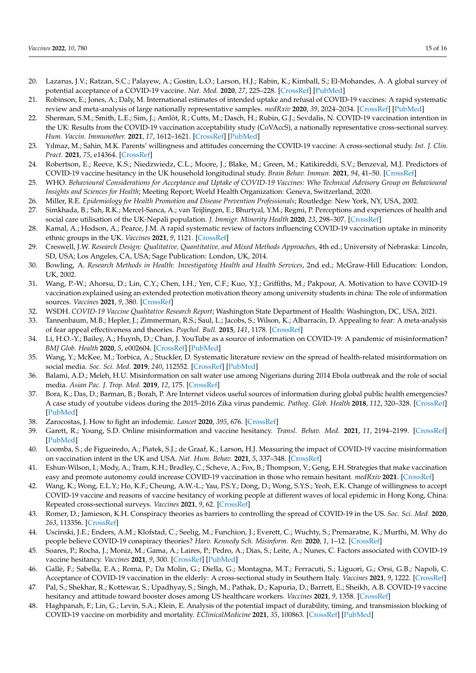- <span id="page-14-0"></span>20. Lazarus, J.V.; Ratzan, S.C.; Palayew, A.; Gostin, L.O.; Larson, H.J.; Rabin, K.; Kimball, S.; El-Mohandes, A. A global survey of potential acceptance of a COVID-19 vaccine. *Nat. Med.* **2020**, *27*, 225–228. [\[CrossRef\]](http://doi.org/10.1038/s41591-020-1124-9) [\[PubMed\]](http://www.ncbi.nlm.nih.gov/pubmed/33082575)
- <span id="page-14-1"></span>21. Robinson, E.; Jones, A.; Daly, M. International estimates of intended uptake and refusal of COVID-19 vaccines: A rapid systematic review and meta-analysis of large nationally representative samples. *medRxiv* **2020**, *39*, 2024–2034. [\[CrossRef\]](http://doi.org/10.1016/j.vaccine.2021.02.005) [\[PubMed\]](http://www.ncbi.nlm.nih.gov/pubmed/33722411)
- <span id="page-14-2"></span>22. Sherman, S.M.; Smith, L.E.; Sim, J.; Amlôt, R.; Cutts, M.; Dasch, H.; Rubin, G.J.; Sevdalis, N. COVID-19 vaccination intention in the UK: Results from the COVID-19 vaccination acceptability study (CoVAccS), a nationally representative cross-sectional survey. *Hum. Vaccin. Immunother.* **2021**, *17*, 1612–1621. [\[CrossRef\]](http://doi.org/10.1080/21645515.2020.1846397) [\[PubMed\]](http://www.ncbi.nlm.nih.gov/pubmed/33242386)
- <span id="page-14-3"></span>23. Yılmaz, M.; Sahin, M.K. Parents' willingness and attitudes concerning the COVID-19 vaccine: A cross-sectional study. *Int. J. Clin. Pract.* **2021**, *75*, e14364. [\[CrossRef\]](http://doi.org/10.1111/ijcp.14364)
- <span id="page-14-4"></span>24. Robertson, E.; Reeve, K.S.; Niedzwiedz, C.L.; Moore, J.; Blake, M.; Green, M.; Katikireddi, S.V.; Benzeval, M.J. Predictors of COVID-19 vaccine hesitancy in the UK household longitudinal study. *Brain Behav. Immun.* **2021**, *94*, 41–50. [\[CrossRef\]](http://doi.org/10.1016/j.bbi.2021.03.008)
- <span id="page-14-5"></span>25. WHO. *Behavioural Considerations for Acceptance and Uptake of COVID-19 Vaccines: Who Technical Advisory Group on Behavioural Insights and Sciences for Health*; Meeting Report; World Health Organization: Geneva, Switzerland, 2020.
- <span id="page-14-6"></span>26. Miller, R.E. *Epidemiology for Health Promotion and Disease Prevention Professionals*; Routledge: New York, NY, USA, 2002.
- <span id="page-14-7"></span>27. Simkhada, B.; Sah, R.K.; Mercel-Sanca, A.; van Teijlingen, E.; Bhurtyal, Y.M.; Regmi, P. Perceptions and experiences of health and social care utilisation of the UK-Nepali population. *J. Immigr. Minority Health* **2020**, *23*, 298–307. [\[CrossRef\]](http://doi.org/10.1007/s10903-020-00976-w)
- <span id="page-14-8"></span>28. Kamal, A.; Hodson, A.; Pearce, J.M. A rapid systematic review of factors influencing COVID-19 vaccination uptake in minority ethnic groups in the UK. *Vaccines* **2021**, *9*, 1121. [\[CrossRef\]](http://doi.org/10.3390/vaccines9101121)
- <span id="page-14-9"></span>29. Creswell, J.W. *Research Design: Qualitative, Quantitative, and Mixed Methods Approaches*, 4th ed.; University of Nebraska: Lincoln, SD, USA; Los Angeles, CA, USA; Sage Publication: London, UK, 2014.
- <span id="page-14-10"></span>30. Bowling, A. *Research Methods in Health: Investigating Health and Health Services*, 2nd ed.; McGraw-Hill Education: London, UK, 2002.
- <span id="page-14-11"></span>31. Wang, P.-W.; Ahorsu, D.; Lin, C.Y.; Chen, I.H.; Yen, C.F.; Kuo, Y.J.; Griffiths, M.; Pakpour, A. Motivation to have COVID-19 vaccination explained using an extended protection motivation theory among university students in china: The role of information sources. *Vaccines* **2021**, *9*, 380. [\[CrossRef\]](http://doi.org/10.3390/vaccines9040380)
- <span id="page-14-12"></span>32. WSDH. *COVID-19 Vaccine Qualitative Research Report*; Washington State Department of Health: Washington, DC, USA, 2021.
- <span id="page-14-13"></span>33. Tannenbaum, M.B.; Hepler, J.; Zimmerman, R.S.; Saul, L.; Jacobs, S.; Wilson, K.; Albarracín, D. Appealing to fear: A meta-analysis of fear appeal effectiveness and theories. *Psychol. Bull.* **2015**, *141*, 1178. [\[CrossRef\]](http://doi.org/10.1037/a0039729)
- <span id="page-14-14"></span>34. Li, H.O.-Y.; Bailey, A.; Huynh, D.; Chan, J. YouTube as a source of information on COVID-19: A pandemic of misinformation? *BMJ Glob. Health* **2020**, *5*, e002604. [\[CrossRef\]](http://doi.org/10.1136/bmjgh-2020-002604) [\[PubMed\]](http://www.ncbi.nlm.nih.gov/pubmed/32409327)
- <span id="page-14-15"></span>35. Wang, Y.; McKee, M.; Torbica, A.; Stuckler, D. Systematic literature review on the spread of health-related misinformation on social media. *Soc. Sci. Med.* **2019**, *240*, 112552. [\[CrossRef\]](http://doi.org/10.1016/j.socscimed.2019.112552) [\[PubMed\]](http://www.ncbi.nlm.nih.gov/pubmed/31561111)
- <span id="page-14-16"></span>36. Balami, A.D.; Meleh, H.U. Misinformation on salt water use among Nigerians during 2014 Ebola outbreak and the role of social media. *Asian Pac. J. Trop. Med.* **2019**, *12*, 175. [\[CrossRef\]](http://doi.org/10.4103/1995-7645.257118)
- <span id="page-14-17"></span>37. Bora, K.; Das, D.; Barman, B.; Borah, P. Are Internet videos useful sources of information during global public health emergencies? A case study of youtube videos during the 2015–2016 Zika virus pandemic. *Pathog. Glob. Health* **2018**, *112*, 320–328. [\[CrossRef\]](http://doi.org/10.1080/20477724.2018.1507784) [\[PubMed\]](http://www.ncbi.nlm.nih.gov/pubmed/30156974)
- <span id="page-14-18"></span>38. Zarocostas, J. How to fight an infodemic. *Lancet* **2020**, *395*, 676. [\[CrossRef\]](http://doi.org/10.1016/S0140-6736(20)30461-X)
- 39. Garett, R.; Young, S.D. Online misinformation and vaccine hesitancy. *Transl. Behav. Med.* **2021**, *11*, 2194–2199. [\[CrossRef\]](http://doi.org/10.1093/tbm/ibab128) [\[PubMed\]](http://www.ncbi.nlm.nih.gov/pubmed/34529080)
- <span id="page-14-19"></span>40. Loomba, S.; de Figueiredo, A.; Piatek, S.J.; de Graaf, K.; Larson, H.J. Measuring the impact of COVID-19 vaccine misinformation on vaccination intent in the UK and USA. *Nat. Hum. Behav.* **2021**, *5*, 337–348. [\[CrossRef\]](http://doi.org/10.1038/s41562-021-01056-1)
- <span id="page-14-20"></span>41. Eshun-Wilson, I.; Mody, A.; Tram, K.H.; Bradley, C.; Scheve, A.; Fox, B.; Thompson, V.; Geng, E.H. Strategies that make vaccination easy and promote autonomy could increase COVID-19 vaccination in those who remain hesitant. *medRxiv* **2021**. [\[CrossRef\]](http://doi.org/10.1101/2021.05.19.21257355)
- <span id="page-14-21"></span>42. Wang, K.; Wong, E.L.Y.; Ho, K.F.; Cheung, A.W.-L.; Yau, P.S.Y.; Dong, D.; Wong, S.Y.S.; Yeoh, E.K. Change of willingness to accept COVID-19 vaccine and reasons of vaccine hesitancy of working people at different waves of local epidemic in Hong Kong, China: Repeated cross-sectional surveys. *Vaccines* **2021**, *9*, 62. [\[CrossRef\]](http://doi.org/10.3390/vaccines9010062)
- <span id="page-14-22"></span>43. Romer, D.; Jamieson, K.H. Conspiracy theories as barriers to controlling the spread of COVID-19 in the US. *Soc. Sci. Med.* **2020**, *263*, 113356. [\[CrossRef\]](http://doi.org/10.1016/j.socscimed.2020.113356)
- <span id="page-14-23"></span>44. Uscinski, J.E.; Enders, A.M.; Klofstad, C.; Seelig, M.; Funchion, J.; Everett, C.; Wuchty, S.; Premaratne, K.; Murthi, M. Why do people believe COVID-19 conspiracy theories? *Harv. Kennedy Sch. Misinform. Rev.* **2020**, *1*, 1–12. [\[CrossRef\]](http://doi.org/10.37016/mr-2020-015)
- <span id="page-14-24"></span>45. Soares, P.; Rocha, J.; Moniz, M.; Gama, A.; Laires, P.; Pedro, A.; Dias, S.; Leite, A.; Nunes, C. Factors associated with COVID-19 vaccine hesitancy. *Vaccines* **2021**, *9*, 300. [\[CrossRef\]](http://doi.org/10.3390/vaccines9030300) [\[PubMed\]](http://www.ncbi.nlm.nih.gov/pubmed/33810131)
- <span id="page-14-25"></span>46. Gallè, F.; Sabella, E.A.; Roma, P.; Da Molin, G.; Diella, G.; Montagna, M.T.; Ferracuti, S.; Liguori, G.; Orsi, G.B.; Napoli, C. Acceptance of COVID-19 vaccination in the elderly: A cross-sectional study in Southern Italy. *Vaccines* **2021**, *9*, 1222. [\[CrossRef\]](http://doi.org/10.3390/vaccines9111222)
- <span id="page-14-26"></span>47. Pal, S.; Shekhar, R.; Kottewar, S.; Upadhyay, S.; Singh, M.; Pathak, D.; Kapuria, D.; Barrett, E.; Sheikh, A.B. COVID-19 vaccine hesitancy and attitude toward booster doses among US healthcare workers. *Vaccines* **2021**, *9*, 1358. [\[CrossRef\]](http://doi.org/10.3390/vaccines9111358)
- <span id="page-14-27"></span>48. Haghpanah, F.; Lin, G.; Levin, S.A.; Klein, E. Analysis of the potential impact of durability, timing, and transmission blocking of COVID-19 vaccine on morbidity and mortality. *EClinicalMedicine* **2021**, *35*, 100863. [\[CrossRef\]](http://doi.org/10.1016/j.eclinm.2021.100863) [\[PubMed\]](http://www.ncbi.nlm.nih.gov/pubmed/33937734)